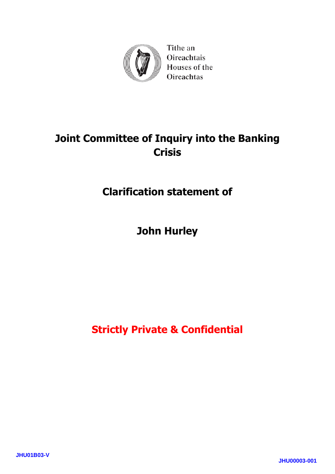

Tithe an Oireachtais Houses of the Oireachtas

# **Joint Committee of Inquiry into the Banking Crisis**

## **Clarification statement of**

# **John Hurley**

**Strictly Private & Confidential**

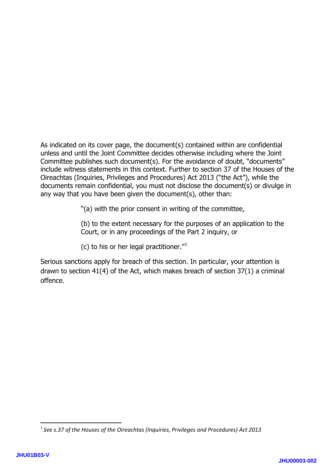As indicated on its cover page, the document(s) contained within are confidential unless and until the Joint Committee decides otherwise including where the Joint Committee publishes such document(s). For the avoidance of doubt, "documents" include witness statements in this context. Further to section 37 of the Houses of the Oireachtas (Inquiries, Privileges and Procedures) Act 2013 ("the Act"), while the documents remain confidential, you must not disclose the document(s) or divulge in any way that you have been given the document(s), other than:

"(a) with the prior consent in writing of the committee,

(b) to the extent necessary for the purposes of an application to the Court, or in any proceedings of the Part 2 inquiry, or

(c) to his or her legal practitioner."[1](#page-1-0)

Serious sanctions apply for breach of this section. In particular, your attention is drawn to section 41(4) of the Act, which makes breach of section 37(1) a criminal offence.

**.** 

<span id="page-1-0"></span><sup>1</sup> *See s.37 of the Houses of the Oireachtas (Inquiries, Privileges and Procedures) Act 2013*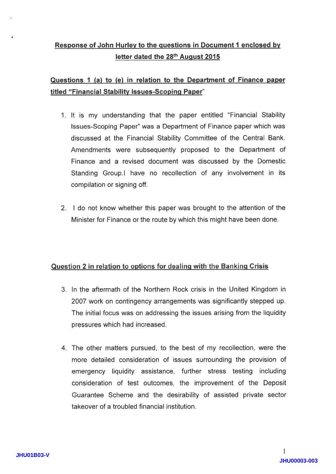### Response of John Hurlev to the questions in Document 1 enclosed bv letter dated the 28<sup>th</sup> August 2015

#### Questions 1 (a) to (e) in relation to the Department of Finance paper titled "Financial Stability Issues-Scoping Paper"

- 1. lt is my understanding that the paper entitled "Financial Stability lssues-Scoping Paper" was a Department of Finance paper which was discussed at the Financial Stability Committee of the Central Bank. Amendments were subsequently proposed to the Department of Finance and a revised document was discussed by the Domestic Standing Group.l have no recollection of any involvement in its compilation or signing off.
- 2. I do not know whether this paper was brought to the attention of the Minister for Finance or the route by which this might have been done.

#### Question 2 in relation to options for dealing with the Banking Crisis

- 3. ln the aftermath of the Northern Rock crisis in the United Kingdom in 2007 work on contingency arrangements was significantly stepped up. The initial focus was on addressing the issues arising from the liquidity pressures which had increased.
- 4. The other matters pursued, to the best of my recollection, were the more detailed consideration of issues surrounding the provision of emergency liquidity assistance, further stress testing including consideration of test outcomes, the improvement of the Deposit Guarantee Scheme and the desirability of assisted private sector takeover of a troubled financial institution.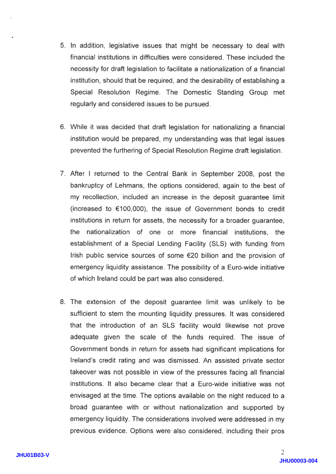- 5. ln addition, legislative issues that might be necessary to deal with financial institutions in difficulties were considered. These included the necessity for draft legislation to facilitate a nationalization of a financial institution, should that be required, and the desirability of establishing a Special Resolution Regime. The Domestic Standing Group met regularly and considered issues to be pursued.
- 6. While it was decided that draft legislation for nationalizing a financia institution would be prepared, my understanding was that legal issues prevented the furthering of Special Resolution Regime draft legislation.
- 7. After I returned to the Central Bank in September 2008, post the bankruptcy of Lehmans, the options considered, again to the best of my recollection, included an increase in the deposit guarantee limit (increased to €100,000), the issue of Government bonds to credit institutions in return for assets, the necessity for a broader guarantee, the nationalization of one or more financial institutions, the establishment of a Special Lending Facility (SLS) with funding from lrish public service sources of some €20 billion and the provision of emergency liquidity assistance. The possibility of a Euro-wide initiative of which lreland could be part was also considered.
- The extension of the deposit guarantee limit was unlikely to be 8. sufficient to stem the mounting liquidity pressures. lt was considered that the introduction of an SLS facility would likewise not prove adequate given the scale of the funds required. The issue of Government bonds in return for assets had significant implications for lreland's credit rating and was dismissed. An assisted private sector takeover was not possible in view of the pressures facing all financial institutions. lt also became clear that a Euro-wide initiative was not envisaged at the time. The options available on the night reduced to a broad guarantee with or without nationalization and supported by emergency liquidity. The considerations involved were addressed in my previous evidence. Options were also considered, including their pros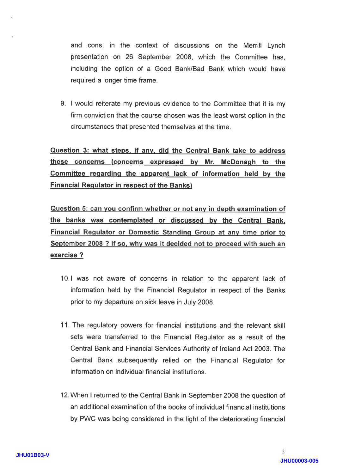and cons, in the context of discussions on the Merrill Lynch presentation on 26 September 2008, which the Committee has, including the option of a Good Bank/Bad Bank which would have required a longer time frame.

9. I would reiterate my previous evidence to the Committee that it is my firm conviction that the course chosen was the least worst option in the circumstances that presented themselves at the time.

Question 3: what steps, if any, did the Central Bank take to address these concerns (concerns expressed bv Mr. McDonaqh to the Committee regarding the apparent lack of information held by the Financial Requlator in respect of the Banks)

Question 5: can you confirm whether or not any in depth examination of the banks was contemplated or discussed bv the Central Bank. Financial Regulator or Domestic Standing Group at any time prior to September 2008 ? If so, why was it decided not to proceed with such an exercise ?

- 10.1 was not aware of concerns in relation to the apparent lack of information held by the Financial Regulator in respect of the Banks prior to my departure on sick leave in July 2008.
- 11. The regulatory powers for financial institutions and the relevant skill sets were transferred to the Financial Regulator as a result of the Central Bank and Financial Services Authority of lreland Act 2003. The Central Bank subsequently relied on the Financial Regulator for information on individual financial institutions.
- 12.When I returned to the Central Bank in September 2008 the question of an additional examination of the books of individual financial institutions by PWC was being considered in the light of the deteriorating financial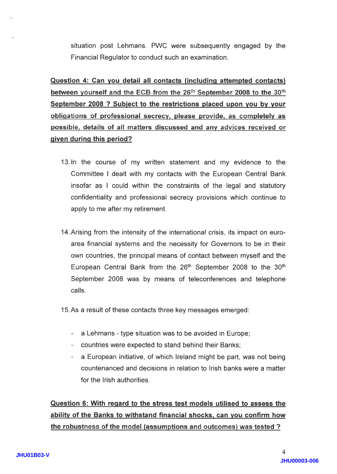situation post Lehmans. PWC were subsequently engaged by the Financial Regulator to conduct such an examination.

Question 4: Gan vou detail all contacts (includinq attempted contacts) between yourself and the ECB from the 26<sup>th</sup> September 2008 to the 30<sup>th</sup> September 2008 ? Subject to the restrictions placed upon you by your obligations of professional secrecy, please provide, as completely as possible, details of all matters discussed and any advices received or qiven durinq this period?

- 13. In the course of my written statement and my evidence to the Committee I dealt with my contacts with the European Central Bank insofar as I could within the constraints of the legal and statutory confidentiality and professional secrecy provisions which continue to apply to me after my retirement.
- l4.Arising from the intensity of the international crisis, its impact on euroarea financial systems and the necessity for Governors to be in their own countries, the principal means of contact between myself and the European Central Bank from the 26<sup>th</sup> September 2008 to the 30<sup>th</sup> September 2008 was by means of teleconferences and telephone calls.

15. As a result of these contacts three key messages emerged:

- $\overline{a}$  a Lehmans type situation was to be avoided in Europe;
- countries were expected to stand behind their Banks;
- a European initiative, of which lreland might be part, was not being  $$ countenanced and decisions in relation to lrish banks were a matter for the lrish authorities.

Question 6: With reqard to the stress test models utilised to assess the ability of the Banks to withstand financial shocks, can you confirm how the robustness of the model (assumptions and outcomes) was tested?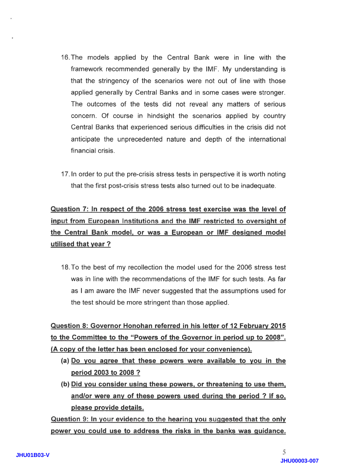- 16.The models applied by the Central Bank were in line with the framework recommended generally by the !MF. My understanding is that the stringency of the scenarios were not out of line with those applied generally by Central Banks and in some cases were stronger. The outcomes of the tests did not reveal any matters of serious concern. Of course in hindsight the scenarios applied by country Central Banks that experienced serious difficulties in the crisis did not anticipate the unprecedented nature and depth of the international financial crisis.
- 17 .ln order to put the pre-crisis stress tests in perspective it is worth noting that the first post-crisis stress tests also turned out to be inadequate.

### Question 7: In respect of the 2006 stress test exercise was the level of input from European Institutions and the IMF restricted to oversight of the Central Bank model. or was a European or IMF desiqned model utilised that vear ?

18.To the best of my recollection the model used forthe 2006 stress test was in line with the recommendations of the !MF for such tests. As far as I am aware the IMF never suggested that the assumptions used for the test should be more stringent than those applied.

Question 8: Governor Honohan referred in his letter of 12 Februarv 2015 to the Committee to the "Powers of the Governor in period up to 2008". (A copv of the letter has been enclosed for vour convenience).

- (a) Do vou aqree that these powers were available to vou in the period 2003 to 2008 ?
- (b) Did vou consider usinq these powers. or threateninq to use them. and/or were anv of these powers used durinq the period ? lf so. please provide details.

Question 9: In your evidence to the hearing you suggested that the only power vou could use to address the risks in the banks was quidance.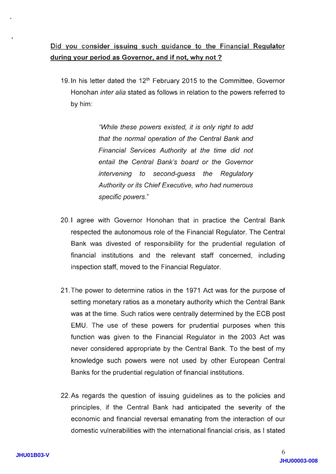19. In his letter dated the 12<sup>th</sup> February 2015 to the Committee, Governor Honohan inter alia stated as follows in relation to the powers referred to by him:

> "While fhese powers existed, it is only right to add that the normal operation of the Central Bank and Financial Services Authority at the time did not entail the Central Bank's board or the Governor intervening to second-guess the Regulatory Authority or its Chief Executive, who had numerous specific powers."

- 20.1 agree with Governor Honohan that in practice the Central Bank respected the autonomous role of the Financial Regulator. The Central Bank was divested of responsibility for the prudential regulation of financial institutions and the relevant staff concerned, including inspection staff, moved to the Financial Regulator.
- 21.fhe power to determine ratios in the 1971 Act was for the purpose of setting monetary ratios as a monetary authority which the Central Bank was at the time. Such ratios were centrally determined by the ECB post EMU. The use of these powers for prudential purposes when this function was given to the Financial Regulator in the 2003 Act was never considered appropriate by the Central Bank. To the best of my knowledge such powers were not used by other European Central Banks for the prudential regulation of financial institutions.
- 22.4s regards the question of issuing guidelines as to the policies and principles, if the Central Bank had anticipated the severity of the economic and financial reversal emanating from the interaction of our domestic vulnerabilities with the international financial crisis, as I stated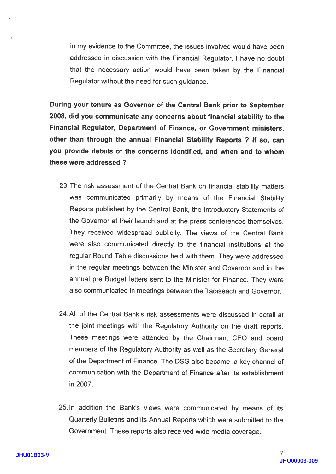in my evidence to the Committee, the issues involved would have been addressed in discussion with the Financial Regulator. ! have no doubt that the necessary action would have been taken by the Financial Regulator without the need for such guidance.

During your tenure as Governor of the Central Bank prior to September 2008, did you communicate any concerns about financial stability to the Financial Regulator, Department of Finance, or Government ministers, other than through the annual Financial stability Reports ? lf so, can you provide details of the concerns identified, and when and to whom these were addressed ?

- 23. The risk assessment of the Central Bank on financial stability matters was communicated primarily by means of the Financial Stability Reports published by the Central Bank, the lntroductory Statements of the Governor at their launch and at the press conferences themselves. They received widespread publicity. The views of the Central Bank were also communicated directly to the financial institutions at the regular Round Table discussions held with them. They were addressed in the regular meetings between the Minister and Governor and in the annual pre Budget letters sent to the Minister for Finance. They were also communicated in meetings between the Taoiseach and Governor.
- 24.All of the Central Bank's risk assessments were discussed in detail at the joint meetings with the Regulatory Authority on the draft reports. These meetings were attended by the Chairman, CEO and board members of the Regulatory Authority as well as the Secretary General of the Department of Finance. The DSG also became a key channel of communication with the Department of Finance after its establishment in 2007.
- 25.1n addition the Bank's views were communicated by means of its Quarterly Bulletins and its Annual Reports which were submitted to the Government. These reports also received wide media coverage.